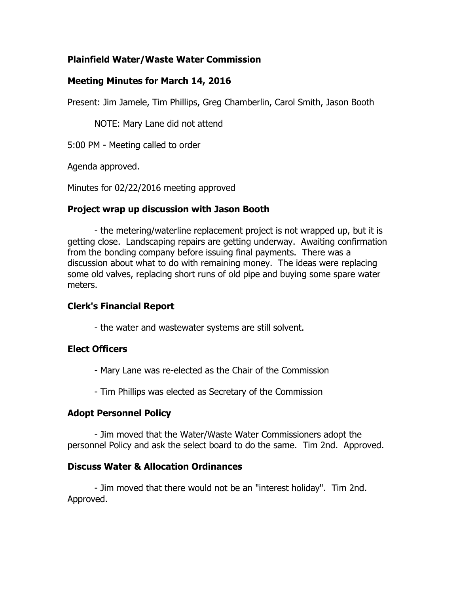## **Plainfield Water/Waste Water Commission**

## **Meeting Minutes for March 14, 2016**

Present: Jim Jamele, Tim Phillips, Greg Chamberlin, Carol Smith, Jason Booth

NOTE: Mary Lane did not attend

5:00 PM - Meeting called to order

Agenda approved.

Minutes for 02/22/2016 meeting approved

### **Project wrap up discussion with Jason Booth**

- the metering/waterline replacement project is not wrapped up, but it is getting close. Landscaping repairs are getting underway. Awaiting confirmation from the bonding company before issuing final payments. There was a discussion about what to do with remaining money. The ideas were replacing some old valves, replacing short runs of old pipe and buying some spare water meters.

# **Clerk's Financial Report**

- the water and wastewater systems are still solvent.

### **Elect Officers**

- Mary Lane was re-elected as the Chair of the Commission
- Tim Phillips was elected as Secretary of the Commission

### **Adopt Personnel Policy**

- Jim moved that the Water/Waste Water Commissioners adopt the personnel Policy and ask the select board to do the same. Tim 2nd. Approved.

### **Discuss Water & Allocation Ordinances**

- Jim moved that there would not be an "interest holiday". Tim 2nd. Approved.